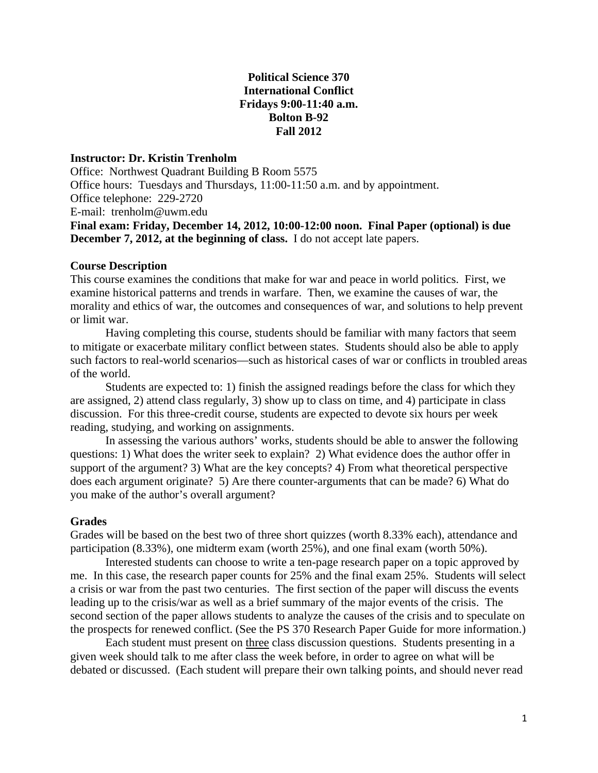## **Political Science 370 International Conflict Fridays 9:00-11:40 a.m. Bolton B-92 Fall 2012**

## **Instructor: Dr. Kristin Trenholm**

Office: Northwest Quadrant Building B Room 5575 Office hours: Tuesdays and Thursdays, 11:00-11:50 a.m. and by appointment. Office telephone: 229-2720 E-mail: [trenholm@uwm.edu](mailto:trenholm@uwm.edu) **Final exam: Friday, December 14, 2012, 10:00-12:00 noon. Final Paper (optional) is due December 7, 2012, at the beginning of class.** I do not accept late papers.

## **Course Description**

This course examines the conditions that make for war and peace in world politics. First, we examine historical patterns and trends in warfare. Then, we examine the causes of war, the morality and ethics of war, the outcomes and consequences of war, and solutions to help prevent or limit war.

Having completing this course, students should be familiar with many factors that seem to mitigate or exacerbate military conflict between states. Students should also be able to apply such factors to real-world scenarios—such as historical cases of war or conflicts in troubled areas of the world.

Students are expected to: 1) finish the assigned readings before the class for which they are assigned, 2) attend class regularly, 3) show up to class on time, and 4) participate in class discussion. For this three-credit course, students are expected to devote six hours per week reading, studying, and working on assignments.

In assessing the various authors' works, students should be able to answer the following questions: 1) What does the writer seek to explain? 2) What evidence does the author offer in support of the argument? 3) What are the key concepts? 4) From what theoretical perspective does each argument originate? 5) Are there counter-arguments that can be made? 6) What do you make of the author's overall argument?

### **Grades**

Grades will be based on the best two of three short quizzes (worth 8.33% each), attendance and participation (8.33%), one midterm exam (worth 25%), and one final exam (worth 50%).

Interested students can choose to write a ten-page research paper on a topic approved by me. In this case, the research paper counts for 25% and the final exam 25%. Students will select a crisis or war from the past two centuries. The first section of the paper will discuss the events leading up to the crisis/war as well as a brief summary of the major events of the crisis. The second section of the paper allows students to analyze the causes of the crisis and to speculate on the prospects for renewed conflict. (See the PS 370 Research Paper Guide for more information.)

Each student must present on three class discussion questions. Students presenting in a given week should talk to me after class the week before, in order to agree on what will be debated or discussed. (Each student will prepare their own talking points, and should never read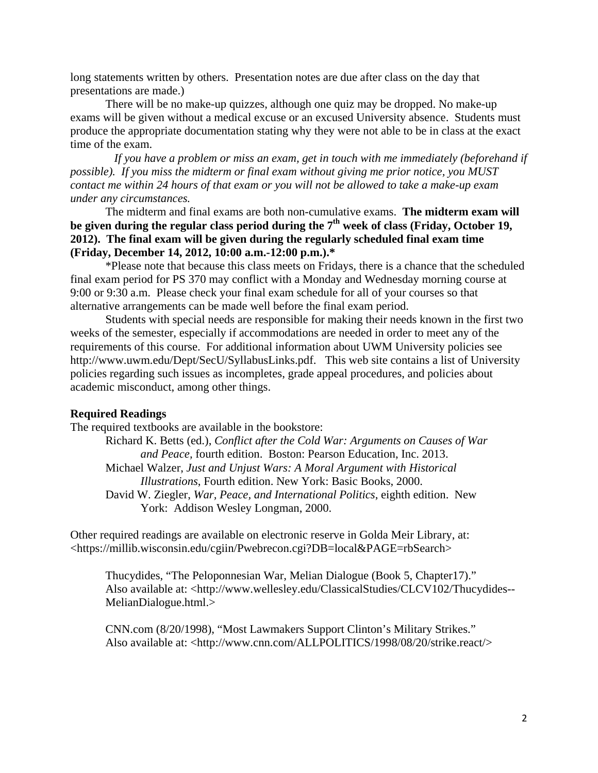long statements written by others. Presentation notes are due after class on the day that presentations are made.)

 There will be no make-up quizzes, although one quiz may be dropped. No make-up exams will be given without a medical excuse or an excused University absence. Students must produce the appropriate documentation stating why they were not able to be in class at the exact time of the exam.

*If you have a problem or miss an exam, get in touch with me immediately (beforehand if possible). If you miss the midterm or final exam without giving me prior notice, you MUST contact me within 24 hours of that exam or you will not be allowed to take a make-up exam under any circumstances.*

The midterm and final exams are both non-cumulative exams. **The midterm exam will be given during the regular class period during the 7th week of class (Friday, October 19, 2012). The final exam will be given during the regularly scheduled final exam time (Friday, December 14, 2012, 10:00 a.m.-12:00 p.m.).\***

\*Please note that because this class meets on Fridays, there is a chance that the scheduled final exam period for PS 370 may conflict with a Monday and Wednesday morning course at 9:00 or 9:30 a.m. Please check your final exam schedule for all of your courses so that alternative arrangements can be made well before the final exam period.

Students with special needs are responsible for making their needs known in the first two weeks of the semester, especially if accommodations are needed in order to meet any of the requirements of this course. For additional information about UWM University policies see http://www.uwm.edu/Dept/SecU/SyllabusLinks.pdf. This web site contains a list of University policies regarding such issues as incompletes, grade appeal procedures, and policies about academic misconduct, among other things.

#### **Required Readings**

The required textbooks are available in the bookstore:

Richard K. Betts (ed.), *Conflict after the Cold War: Arguments on Causes of War and Peace,* fourth edition. Boston: Pearson Education, Inc. 2013. Michael Walzer, *Just and Unjust Wars: A Moral Argument with Historical Illustrations*, Fourth edition. New York: Basic Books, 2000. David W. Ziegler, *War, Peace, and International Politics*, eighth edition. New York: Addison Wesley Longman, 2000.

Other required readings are available on electronic reserve in Golda Meir Library, at: [<https://millib.wisconsin.edu/cgiin/Pwebrecon.cgi?DB=local&PAGE=rbSearch>](https://millib.wisconsin.edu/cgiin/Pwebrecon.cgi?DB=local&PAGE=rbSearch)

Thucydides, "The Peloponnesian War, Melian Dialogue (Book 5, Chapter17)." Also available at: [<http://www.wellesley.edu/ClassicalStudies/CLCV102/Thucydides--](http://www.wellesley.edu/ClassicalStudies/CLCV102/Thucydides--MelianDialogue.html) [MelianDialogue.html.](http://www.wellesley.edu/ClassicalStudies/CLCV102/Thucydides--MelianDialogue.html)>

CNN.com (8/20/1998), "Most Lawmakers Support Clinton's Military Strikes." Also available at: [<http://www.cnn.com/ALLPOLITICS/1998/08/20/strike.react/>](http://www.cnn.com/ALLPOLITICS/1998/08/20/strike.react/)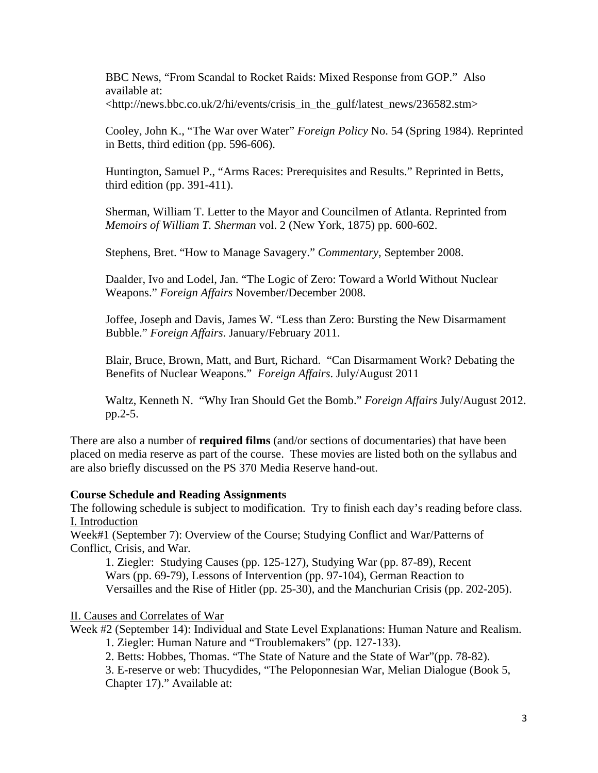BBC News, "From Scandal to Rocket Raids: Mixed Response from GOP." Also available at: [<http://news.bbc.co.uk/2/hi/events/crisis\\_in\\_the\\_gulf/latest\\_news/236582.stm>](http://news.bbc.co.uk/2/hi/events/crisis_in_the_gulf/latest_news/236582.stm)

Cooley, John K., "The War over Water" *Foreign Policy* No. 54 (Spring 1984). Reprinted in Betts, third edition (pp. 596-606).

Huntington, Samuel P., "Arms Races: Prerequisites and Results." Reprinted in Betts, third edition (pp. 391-411).

Sherman, William T. Letter to the Mayor and Councilmen of Atlanta. Reprinted from *Memoirs of William T. Sherman* vol. 2 (New York, 1875) pp. 600-602.

Stephens, Bret. "How to Manage Savagery." *Commentary*, September 2008.

Daalder, Ivo and Lodel, Jan. "The Logic of Zero: Toward a World Without Nuclear Weapons." *Foreign Affairs* November/December 2008.

Joffee, Joseph and Davis, James W. "Less than Zero: Bursting the New Disarmament Bubble." *Foreign Affairs*. January/February 2011.

Blair, Bruce, Brown, Matt, and Burt, Richard. "Can Disarmament Work? Debating the Benefits of Nuclear Weapons." *Foreign Affairs*. July/August 2011

Waltz, Kenneth N. "Why Iran Should Get the Bomb." *Foreign Affairs* July/August 2012. pp.2-5.

There are also a number of **required films** (and/or sections of documentaries) that have been placed on media reserve as part of the course. These movies are listed both on the syllabus and are also briefly discussed on the PS 370 Media Reserve hand-out.

# **Course Schedule and Reading Assignments**

The following schedule is subject to modification. Try to finish each day's reading before class. I. Introduction

Week#1 (September 7): Overview of the Course; Studying Conflict and War/Patterns of Conflict, Crisis, and War.

1. Ziegler: Studying Causes (pp. 125-127), Studying War (pp. 87-89), Recent Wars (pp. 69-79), Lessons of Intervention (pp. 97-104), German Reaction to Versailles and the Rise of Hitler (pp. 25-30), and the Manchurian Crisis (pp. 202-205).

II. Causes and Correlates of War

Week #2 (September 14): Individual and State Level Explanations: Human Nature and Realism. 1. Ziegler: Human Nature and "Troublemakers" (pp. 127-133).

2. Betts: Hobbes, Thomas. "The State of Nature and the State of War"(pp. 78-82).

3. E-reserve or web: Thucydides, "The Peloponnesian War, Melian Dialogue (Book 5, Chapter 17)." Available at: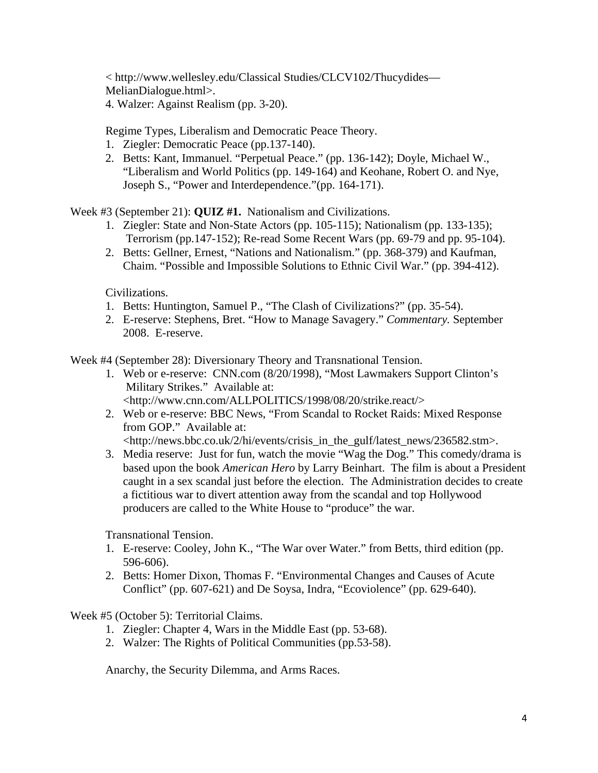< [http://www.wellesley.edu/Classical Studies/CLCV102/Thucydides—](http://www.wellesley.edu/Classical%20Studies/CLCV102/Thucydides—MelianDialogue.html) [MelianDialogue.html>](http://www.wellesley.edu/Classical%20Studies/CLCV102/Thucydides—MelianDialogue.html).

4. Walzer: Against Realism (pp. 3-20).

Regime Types, Liberalism and Democratic Peace Theory.

- 1. Ziegler: Democratic Peace (pp.137-140).
- 2. Betts: Kant, Immanuel. "Perpetual Peace." (pp. 136-142); Doyle, Michael W., "Liberalism and World Politics (pp. 149-164) and Keohane, Robert O. and Nye, Joseph S., "Power and Interdependence."(pp. 164-171).

Week #3 (September 21): **QUIZ #1.** Nationalism and Civilizations.

- 1. Ziegler: State and Non-State Actors (pp. 105-115); Nationalism (pp. 133-135); Terrorism (pp.147-152); Re-read Some Recent Wars (pp. 69-79 and pp. 95-104).
- 2. Betts: Gellner, Ernest, "Nations and Nationalism." (pp. 368-379) and Kaufman, Chaim. "Possible and Impossible Solutions to Ethnic Civil War." (pp. 394-412).

Civilizations.

- 1. Betts: Huntington, Samuel P., "The Clash of Civilizations?" (pp. 35-54).
- 2. E-reserve: Stephens, Bret. "How to Manage Savagery." *Commentary.* September 2008. E-reserve.

Week #4 (September 28): Diversionary Theory and Transnational Tension.

- 1. Web or e-reserve: CNN.com (8/20/1998), "Most Lawmakers Support Clinton's Military Strikes." Available at: <http://www.cnn.com/ALLPOLITICS/1998/08/20/strike.react/>
- 2. Web or e-reserve: BBC News, "From Scandal to Rocket Raids: Mixed Response from GOP." Available at:

[<http://news.bbc.co.uk/2/hi/events/crisis\\_in\\_the\\_gulf/latest\\_news/236582.stm>](http://news.bbc.co.uk/2/hi/events/crisis_in_the_gulf/latest_news/236582.stm).

3. Media reserve: Just for fun, watch the movie "Wag the Dog." This comedy/drama is based upon the book *American Hero* by Larry Beinhart. The film is about a President caught in a sex scandal just before the election. The Administration decides to create a fictitious war to divert attention away from the scandal and top Hollywood producers are called to the White House to "produce" the war.

Transnational Tension.

- 1. E-reserve: Cooley, John K., "The War over Water." from Betts, third edition (pp. 596-606).
- 2. Betts: Homer Dixon, Thomas F. "Environmental Changes and Causes of Acute Conflict" (pp. 607-621) and De Soysa, Indra, "Ecoviolence" (pp. 629-640).

Week #5 (October 5): Territorial Claims.

- 1. Ziegler: Chapter 4, Wars in the Middle East (pp. 53-68).
- 2. Walzer: The Rights of Political Communities (pp.53-58).

Anarchy, the Security Dilemma, and Arms Races.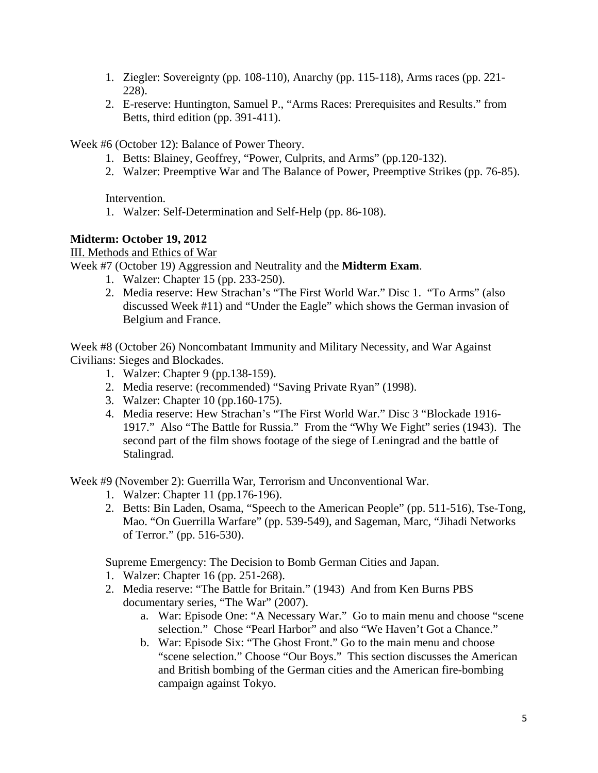- 1. Ziegler: Sovereignty (pp. 108-110), Anarchy (pp. 115-118), Arms races (pp. 221- 228).
- 2. E-reserve: Huntington, Samuel P., "Arms Races: Prerequisites and Results." from Betts, third edition (pp. 391-411).

Week #6 (October 12): Balance of Power Theory.

- 1. Betts: Blainey, Geoffrey, "Power, Culprits, and Arms" (pp.120-132).
- 2. Walzer: Preemptive War and The Balance of Power, Preemptive Strikes (pp. 76-85).

Intervention.

1. Walzer: Self-Determination and Self-Help (pp. 86-108).

# **Midterm: October 19, 2012**

III. Methods and Ethics of War

Week #7 (October 19) Aggression and Neutrality and the **Midterm Exam**.

- 1. Walzer: Chapter 15 (pp. 233-250).
- 2. Media reserve: Hew Strachan's "The First World War." Disc 1. "To Arms" (also discussed Week #11) and "Under the Eagle" which shows the German invasion of Belgium and France.

Week #8 (October 26) Noncombatant Immunity and Military Necessity, and War Against Civilians: Sieges and Blockades.

- 1. Walzer: Chapter 9 (pp.138-159).
- 2. Media reserve: (recommended) "Saving Private Ryan" (1998).
- 3. Walzer: Chapter 10 (pp.160-175).
- 4. Media reserve: Hew Strachan's "The First World War." Disc 3 "Blockade 1916- 1917." Also "The Battle for Russia." From the "Why We Fight" series (1943). The second part of the film shows footage of the siege of Leningrad and the battle of Stalingrad.

Week #9 (November 2): Guerrilla War, Terrorism and Unconventional War.

- 1. Walzer: Chapter 11 (pp.176-196).
- 2. Betts: Bin Laden, Osama, "Speech to the American People" (pp. 511-516), Tse-Tong, Mao. "On Guerrilla Warfare" (pp. 539-549), and Sageman, Marc, "Jihadi Networks of Terror." (pp. 516-530).

Supreme Emergency: The Decision to Bomb German Cities and Japan.

- 1. Walzer: Chapter 16 (pp. 251-268).
- 2. Media reserve: "The Battle for Britain." (1943) And from Ken Burns PBS documentary series, "The War" (2007).
	- a. War: Episode One: "A Necessary War." Go to main menu and choose "scene selection." Chose "Pearl Harbor" and also "We Haven't Got a Chance."
	- b. War: Episode Six: "The Ghost Front." Go to the main menu and choose "scene selection." Choose "Our Boys." This section discusses the American and British bombing of the German cities and the American fire-bombing campaign against Tokyo.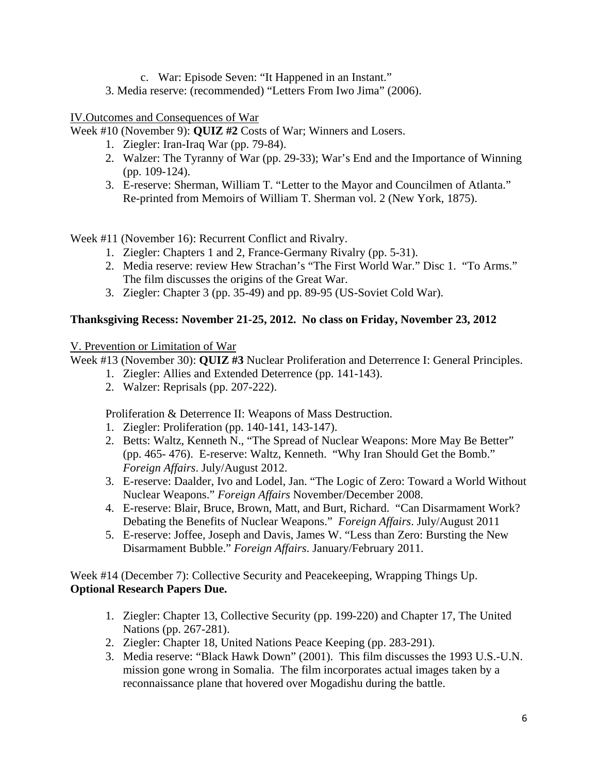- c. War: Episode Seven: "It Happened in an Instant."
- 3. Media reserve: (recommended) "Letters From Iwo Jima" (2006).

## IV.Outcomes and Consequences of War

Week #10 (November 9): **QUIZ #2** Costs of War; Winners and Losers.

- 1. Ziegler: Iran-Iraq War (pp. 79-84).
- 2. Walzer: The Tyranny of War (pp. 29-33); War's End and the Importance of Winning (pp. 109-124).
- 3. E-reserve: Sherman, William T. "Letter to the Mayor and Councilmen of Atlanta." Re-printed from Memoirs of William T. Sherman vol. 2 (New York, 1875).

Week #11 (November 16): Recurrent Conflict and Rivalry.

- 1. Ziegler: Chapters 1 and 2, France-Germany Rivalry (pp. 5-31).
- 2. Media reserve: review Hew Strachan's "The First World War." Disc 1. "To Arms." The film discusses the origins of the Great War.
- 3. Ziegler: Chapter 3 (pp. 35-49) and pp. 89-95 (US-Soviet Cold War).

## **Thanksgiving Recess: November 21-25, 2012. No class on Friday, November 23, 2012**

V. Prevention or Limitation of War

Week #13 (November 30): **QUIZ #3** Nuclear Proliferation and Deterrence I: General Principles.

- 1. Ziegler: Allies and Extended Deterrence (pp. 141-143).
- 2. Walzer: Reprisals (pp. 207-222).

Proliferation & Deterrence II: Weapons of Mass Destruction.

- 1. Ziegler: Proliferation (pp. 140-141, 143-147).
- 2. Betts: Waltz, Kenneth N., "The Spread of Nuclear Weapons: More May Be Better" (pp. 465- 476). E-reserve: Waltz, Kenneth. "Why Iran Should Get the Bomb." *Foreign Affairs*. July/August 2012.
- 3. E-reserve: Daalder, Ivo and Lodel, Jan. "The Logic of Zero: Toward a World Without Nuclear Weapons." *Foreign Affairs* November/December 2008.
- 4. E-reserve: Blair, Bruce, Brown, Matt, and Burt, Richard. "Can Disarmament Work? Debating the Benefits of Nuclear Weapons." *Foreign Affairs*. July/August 2011
- 5. E-reserve: Joffee, Joseph and Davis, James W. "Less than Zero: Bursting the New Disarmament Bubble." *Foreign Affairs*. January/February 2011.

Week #14 (December 7): Collective Security and Peacekeeping, Wrapping Things Up. **Optional Research Papers Due.** 

- 1. Ziegler: Chapter 13, Collective Security (pp. 199-220) and Chapter 17, The United Nations (pp. 267-281).
- 2. Ziegler: Chapter 18, United Nations Peace Keeping (pp. 283-291).
- 3. Media reserve: "Black Hawk Down" (2001). This film discusses the 1993 U.S.-U.N. mission gone wrong in Somalia. The film incorporates actual images taken by a reconnaissance plane that hovered over Mogadishu during the battle.